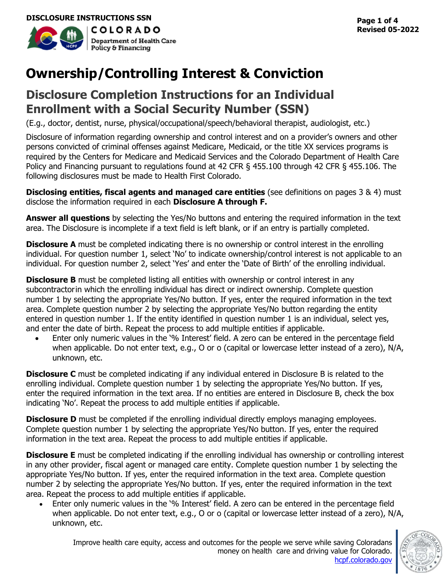

**Revised 05-2022**

# **Ownership/Controlling Interest & Conviction**

# **Disclosure Completion Instructions for an Individual Enrollment with a Social Security Number (SSN)**

(E.g., doctor, dentist, nurse, physical/occupational/speech/behavioral therapist, audiologist, etc.)

Disclosure of information regarding ownership and control interest and on a provider's owners and other persons convicted of criminal offenses against Medicare, Medicaid, or the title XX services programs is required by the Centers for Medicare and Medicaid Services and the Colorado Department of Health Care Policy and Financing pursuant to regulations found at 42 CFR § 455.100 through 42 CFR § 455.106. The following disclosures must be made to Health First Colorado.

**Disclosing entities, fiscal agents and managed care entities** (see definitions on pages 3 & 4) must disclose the information required in each **Disclosure A through F.**

**Answer all questions** by selecting the Yes/No buttons and entering the required information in the text area. The Disclosure is incomplete if a text field is left blank, or if an entry is partially completed.

**Disclosure A** must be completed indicating there is no ownership or control interest in the enrolling individual. For question number 1, select 'No' to indicate ownership/control interest is not applicable to an individual. For question number 2, select 'Yes' and enter the 'Date of Birth' of the enrolling individual.

**Disclosure B** must be completed listing all entities with ownership or control interest in any subcontractorin which the enrolling individual has direct or indirect ownership. Complete question number 1 by selecting the appropriate Yes/No button. If yes, enter the required information in the text area. Complete question number 2 by selecting the appropriate Yes/No button regarding the entity entered in question number 1. If the entity identified in question number 1 is an individual, select yes, and enter the date of birth. Repeat the process to add multiple entities if applicable.

Enter only numeric values in the '% Interest' field. A zero can be entered in the percentage field when applicable. Do not enter text, e.g., O or o (capital or lowercase letter instead of a zero), N/A, unknown, etc.

**Disclosure C** must be completed indicating if any individual entered in Disclosure B is related to the enrolling individual. Complete question number 1 by selecting the appropriate Yes/No button. If yes, enter the required information in the text area. If no entities are entered in Disclosure B, check the box indicating 'No'. Repeat the process to add multiple entities if applicable.

**Disclosure D** must be completed if the enrolling individual directly employs managing employees. Complete question number 1 by selecting the appropriate Yes/No button. If yes, enter the required information in the text area. Repeat the process to add multiple entities if applicable.

**Disclosure E** must be completed indicating if the enrolling individual has ownership or controlling interest in any other provider, fiscal agent or managed care entity. Complete question number 1 by selecting the appropriate Yes/No button. If yes, enter the required information in the text area. Complete question number 2 by selecting the appropriate Yes/No button. If yes, enter the required information in the text area. Repeat the process to add multiple entities if applicable.

• Enter only numeric values in the '% Interest' field. A zero can be entered in the percentage field when applicable. Do not enter text, e.g., O or o (capital or lowercase letter instead of a zero), N/A, unknown, etc.

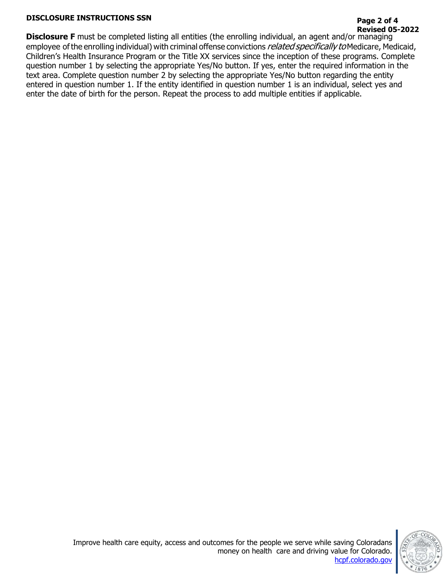## **DISCLOSURE INSTRUCTIONS SSN Page 2 of 4**

# **Revised 05-2022**

**Disclosure F** must be completed listing all entities (the enrolling individual, an agent and/or managing employee of the enrolling individual) with criminal offense convictions *related specifically to* Medicare, Medicaid, Children's Health Insurance Program or the Title XX services since the inception of these programs. Complete question number 1 by selecting the appropriate Yes/No button. If yes, enter the required information in the text area. Complete question number 2 by selecting the appropriate Yes/No button regarding the entity entered in question number 1. If the entity identified in question number 1 is an individual, select yes and enter the date of birth for the person. Repeat the process to add multiple entities if applicable.

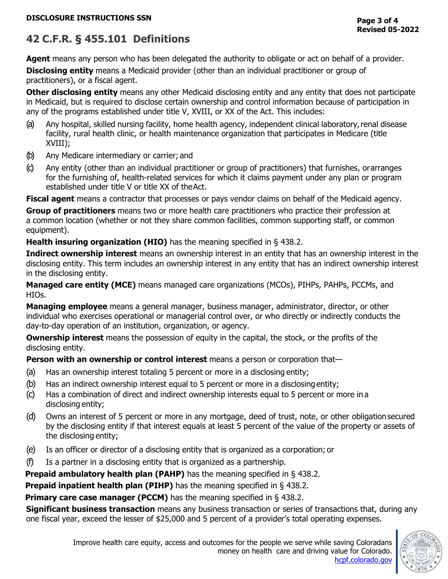## **42 C.F.R. § 455.101 Definitions**

**Agent** means any person who has been delegated the authority to obligate or act on behalf of a provider.

**Disclosing entity** means a Medicaid provider (other than an individual practitioner or group of practitioners), or a fiscal agent.

**Other disclosing entity** means any other Medicaid disclosing entity and any entity that does not participate in Medicaid, but is required to disclose certain ownership and control information because of participation in any of the programs established under title V, XVIII, or XX of the Act. This includes:

- (a) Any hospital, skilled nursing facility, home health agency, independent clinical laboratory,renal disease facility, rural health clinic, or health maintenance organization that participates in Medicare (title XVIII);
- (b) Any Medicare intermediary or carrier; and
- (c) Any entity (other than an individual practitioner or group of practitioners) that furnishes, orarranges for the furnishing of, health-related services for which it claims payment under any plan or program established under title V or title XX of theAct.

**Fiscal agent** means a contractor that processes or pays vendor claims on behalf of the Medicaid agency.

**Group of practitioners** means two or more health care practitioners who practice their profession at a common location (whether or not they share common facilities, common supporting staff, or common equipment).

**Health insuring organization (HIO)** has the meaning specified in [§ 438.2.](https://www.ecfr.gov/current/title-42/section-438.2)

**Indirect ownership interest** means an ownership interest in an entity that has an ownership interest in the disclosing entity. This term includes an ownership interest in any entity that has an indirect ownership interest in the disclosing entity.

**Managed care entity (MCE)** means managed care organizations (MCOs), PIHPs, PAHPs, PCCMs, and HIOs.

**Managing employee** means a general manager, business manager, administrator, director, or other individual who exercises operational or managerial control over, or who directly or indirectly conducts the day-to-day operation of an institution, organization, or agency.

**Ownership interest** means the possession of equity in the capital, the stock, or the profits of the disclosing entity.

**Person with an ownership or control interest** means a person or corporation that—

- (a) Has an ownership interest totaling 5 percent or more in a disclosing entity;
- (b) Has an indirect ownership interest equal to 5 percent or more in a disclosingentity;
- (c) Has a combination of direct and indirect ownership interests equal to 5 percent or more in a disclosing entity;
- (d) Owns an interest of 5 percent or more in any mortgage, deed of trust, note, or other obligationsecured by the disclosing entity if that interest equals at least 5 percent of the value of the property or assets of the disclosing entity;
- (e) Is an officer or director of a disclosing entity that is organized as a corporation; or
- (f) Is a partner in a disclosing entity that is organized as a partnership.

**Prepaid ambulatory health plan (PAHP)** has the meaning specified in [§ 438.2.](https://www.ecfr.gov/current/title-42/section-438.2)

**Prepaid inpatient health plan (PIHP)** has the meaning specified in [§ 438.2.](https://www.ecfr.gov/current/title-42/section-438.2)

**Primary care case manager (PCCM)** has the meaning specified in [§ 438.2.](https://www.ecfr.gov/current/title-42/section-438.2)

**Significant business transaction** means any business transaction or series of transactions that, during any one fiscal year, exceed the lesser of \$25,000 and 5 percent of a provider's total operating expenses.